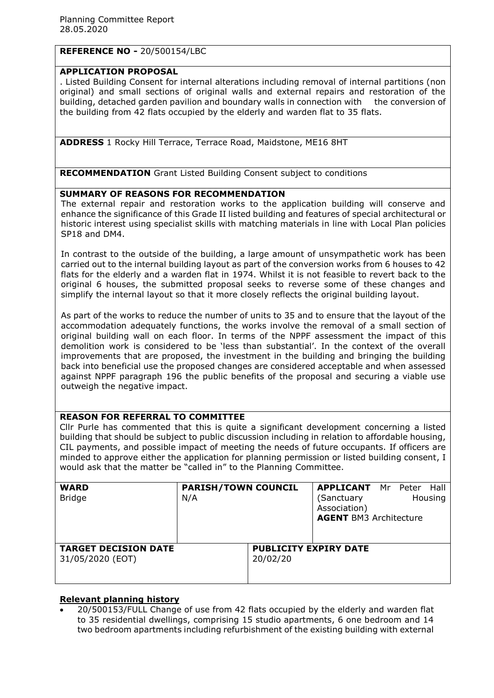# **REFERENCE NO -** 20/500154/LBC

## **APPLICATION PROPOSAL**

. Listed Building Consent for internal alterations including removal of internal partitions (non original) and small sections of original walls and external repairs and restoration of the building, detached garden pavilion and boundary walls in connection with the conversion of the building from 42 flats occupied by the elderly and warden flat to 35 flats.

**ADDRESS** 1 Rocky Hill Terrace, Terrace Road, Maidstone, ME16 8HT

**RECOMMENDATION** Grant Listed Building Consent subject to conditions

## **SUMMARY OF REASONS FOR RECOMMENDATION**

The external repair and restoration works to the application building will conserve and enhance the significance of this Grade II listed building and features of special architectural or historic interest using specialist skills with matching materials in line with Local Plan policies SP18 and DM4.

In contrast to the outside of the building, a large amount of unsympathetic work has been carried out to the internal building layout as part of the conversion works from 6 houses to 42 flats for the elderly and a warden flat in 1974. Whilst it is not feasible to revert back to the original 6 houses, the submitted proposal seeks to reverse some of these changes and simplify the internal layout so that it more closely reflects the original building layout.

As part of the works to reduce the number of units to 35 and to ensure that the layout of the accommodation adequately functions, the works involve the removal of a small section of original building wall on each floor. In terms of the NPPF assessment the impact of this demolition work is considered to be 'less than substantial'. In the context of the overall improvements that are proposed, the investment in the building and bringing the building back into beneficial use the proposed changes are considered acceptable and when assessed against NPPF paragraph 196 the public benefits of the proposal and securing a viable use outweigh the negative impact.

# **REASON FOR REFERRAL TO COMMITTEE**

Cllr Purle has commented that this is quite a significant development concerning a listed building that should be subject to public discussion including in relation to affordable housing, CIL payments, and possible impact of meeting the needs of future occupants. If officers are minded to approve either the application for planning permission or listed building consent, I would ask that the matter be "called in" to the Planning Committee.

| <b>WARD</b><br><b>Bridge</b>                    | <b>PARISH/TOWN COUNCIL</b><br>N/A |                                          | <b>APPLICANT</b> Mr Peter Hall<br>(Sanctuary<br>Association)<br><b>AGENT BM3 Architecture</b> |  | Housing |
|-------------------------------------------------|-----------------------------------|------------------------------------------|-----------------------------------------------------------------------------------------------|--|---------|
| <b>TARGET DECISION DATE</b><br>31/05/2020 (EOT) |                                   | <b>PUBLICITY EXPIRY DATE</b><br>20/02/20 |                                                                                               |  |         |

# **Relevant planning history**

 20/500153/FULL Change of use from 42 flats occupied by the elderly and warden flat to 35 residential dwellings, comprising 15 studio apartments, 6 one bedroom and 14 two bedroom apartments including refurbishment of the existing building with external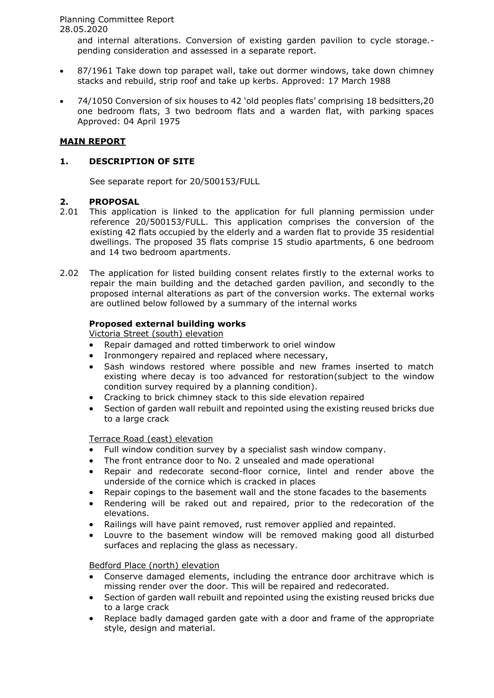and internal alterations. Conversion of existing garden pavilion to cycle storage. pending consideration and assessed in a separate report.

- 87/1961 Take down top parapet wall, take out dormer windows, take down chimney stacks and rebuild, strip roof and take up kerbs. Approved: 17 March 1988
- 74/1050 Conversion of six houses to 42 'old peoples flats' comprising 18 bedsitters,20 one bedroom flats, 3 two bedroom flats and a warden flat, with parking spaces Approved: 04 April 1975

# **MAIN REPORT**

## **1. DESCRIPTION OF SITE**

See separate report for 20/500153/FULL

## **2. PROPOSAL**

- 2.01 This application is linked to the application for full planning permission under reference 20/500153/FULL. This application comprises the conversion of the existing 42 flats occupied by the elderly and a warden flat to provide 35 residential dwellings. The proposed 35 flats comprise 15 studio apartments, 6 one bedroom and 14 two bedroom apartments.
- 2.02 The application for listed building consent relates firstly to the external works to repair the main building and the detached garden pavilion, and secondly to the proposed internal alterations as part of the conversion works. The external works are outlined below followed by a summary of the internal works

## **Proposed external building works**

Victoria Street (south) elevation

- Repair damaged and rotted timberwork to oriel window
- Ironmongery repaired and replaced where necessary,
- Sash windows restored where possible and new frames inserted to match existing where decay is too advanced for restoration(subject to the window condition survey required by a planning condition).
- Cracking to brick chimney stack to this side elevation repaired
- Section of garden wall rebuilt and repointed using the existing reused bricks due to a large crack

## Terrace Road (east) elevation

- Full window condition survey by a specialist sash window company.
- The front entrance door to No. 2 unsealed and made operational
- Repair and redecorate second-floor cornice, lintel and render above the underside of the cornice which is cracked in places
- Repair copings to the basement wall and the stone facades to the basements
- Rendering will be raked out and repaired, prior to the redecoration of the elevations.
- Railings will have paint removed, rust remover applied and repainted.
- Louvre to the basement window will be removed making good all disturbed surfaces and replacing the glass as necessary.

## Bedford Place (north) elevation

- Conserve damaged elements, including the entrance door architrave which is missing render over the door. This will be repaired and redecorated.
- Section of garden wall rebuilt and repointed using the existing reused bricks due to a large crack
- Replace badly damaged garden gate with a door and frame of the appropriate style, design and material.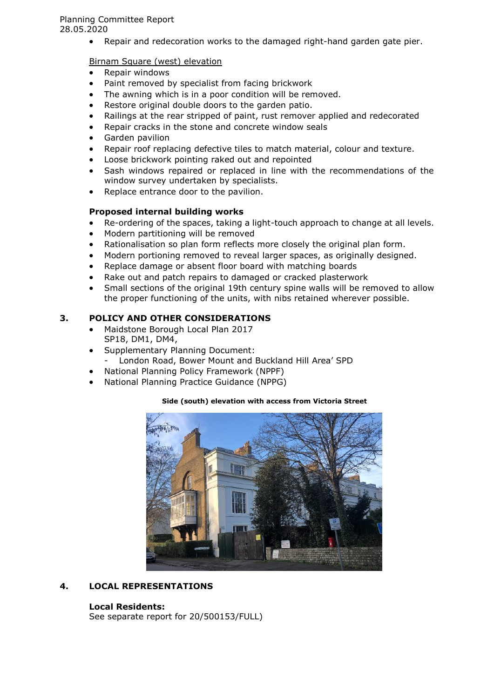Repair and redecoration works to the damaged right-hand garden gate pier.

## Birnam Square (west) elevation

- Repair windows
- Paint removed by specialist from facing brickwork
- The awning which is in a poor condition will be removed.
- Restore original double doors to the garden patio.
- Railings at the rear stripped of paint, rust remover applied and redecorated
- Repair cracks in the stone and concrete window seals
- Garden pavilion
- Repair roof replacing defective tiles to match material, colour and texture.
- Loose brickwork pointing raked out and repointed
- Sash windows repaired or replaced in line with the recommendations of the window survey undertaken by specialists.
- Replace entrance door to the pavilion.

## **Proposed internal building works**

- Re-ordering of the spaces, taking a light-touch approach to change at all levels.
- Modern partitioning will be removed
- Rationalisation so plan form reflects more closely the original plan form.
- Modern portioning removed to reveal larger spaces, as originally designed.
- Replace damage or absent floor board with matching boards
- Rake out and patch repairs to damaged or cracked plasterwork
- Small sections of the original 19th century spine walls will be removed to allow the proper functioning of the units, with nibs retained wherever possible.

## **3. POLICY AND OTHER CONSIDERATIONS**

- Maidstone Borough Local Plan 2017 SP18, DM1, DM4,
- Supplementary Planning Document:
- London Road, Bower Mount and Buckland Hill Area' SPD
- National Planning Policy Framework (NPPF)
- National Planning Practice Guidance (NPPG)

#### **Side (south) elevation with access from Victoria Street**



# **4. LOCAL REPRESENTATIONS**

## **Local Residents:**

See separate report for 20/500153/FULL)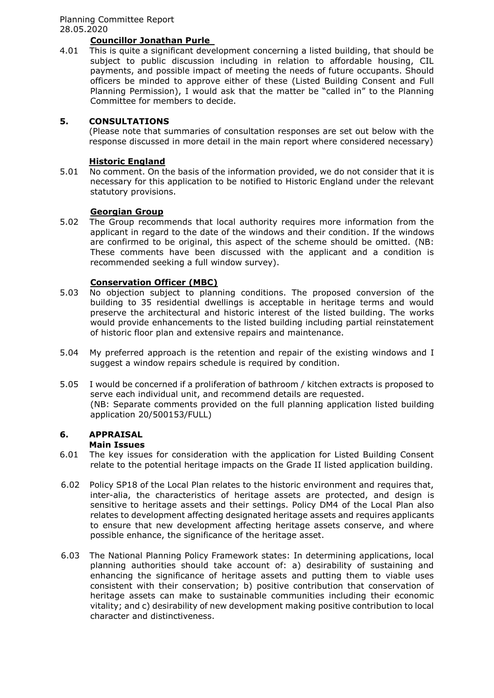# **Councillor Jonathan Purle**

4.01 This is quite a significant development concerning a listed building, that should be subject to public discussion including in relation to affordable housing, CIL payments, and possible impact of meeting the needs of future occupants. Should officers be minded to approve either of these (Listed Building Consent and Full Planning Permission), I would ask that the matter be "called in" to the Planning Committee for members to decide.

## **5. CONSULTATIONS**

(Please note that summaries of consultation responses are set out below with the response discussed in more detail in the main report where considered necessary)

## **Historic England**

5.01 No comment. On the basis of the information provided, we do not consider that it is necessary for this application to be notified to Historic England under the relevant statutory provisions.

## **Georgian Group**

5.02 The Group recommends that local authority requires more information from the applicant in regard to the date of the windows and their condition. If the windows are confirmed to be original, this aspect of the scheme should be omitted. (NB: These comments have been discussed with the applicant and a condition is recommended seeking a full window survey).

## **Conservation Officer (MBC)**

- 5.03 No objection subject to planning conditions. The proposed conversion of the building to 35 residential dwellings is acceptable in heritage terms and would preserve the architectural and historic interest of the listed building. The works would provide enhancements to the listed building including partial reinstatement of historic floor plan and extensive repairs and maintenance.
- 5.04 My preferred approach is the retention and repair of the existing windows and I suggest a window repairs schedule is required by condition.
- 5.05 I would be concerned if a proliferation of bathroom / kitchen extracts is proposed to serve each individual unit, and recommend details are requested. (NB: Separate comments provided on the full planning application listed building application 20/500153/FULL)

#### **6. APPRAISAL Main Issues**

- 6.01 The key issues for consideration with the application for Listed Building Consent relate to the potential heritage impacts on the Grade II listed application building.
- 6.02 Policy SP18 of the Local Plan relates to the historic environment and requires that, inter-alia, the characteristics of heritage assets are protected, and design is sensitive to heritage assets and their settings. Policy DM4 of the Local Plan also relates to development affecting designated heritage assets and requires applicants to ensure that new development affecting heritage assets conserve, and where possible enhance, the significance of the heritage asset.
- 6.03 The National Planning Policy Framework states: In determining applications, local planning authorities should take account of: a) desirability of sustaining and enhancing the significance of heritage assets and putting them to viable uses consistent with their conservation; b) positive contribution that conservation of heritage assets can make to sustainable communities including their economic vitality; and c) desirability of new development making positive contribution to local character and distinctiveness.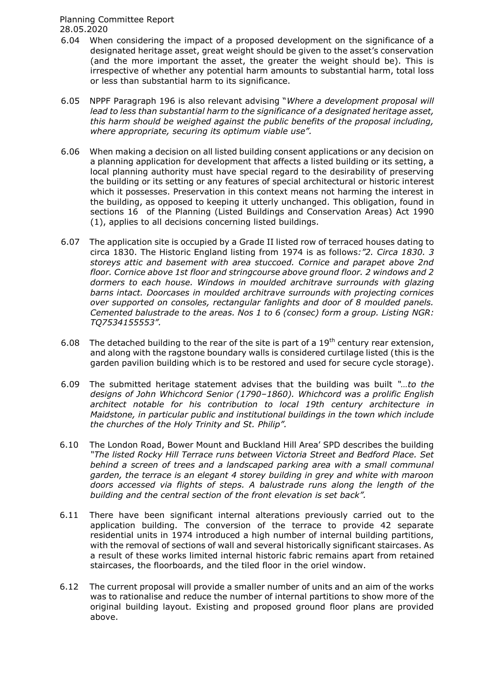- 6.04 When considering the impact of a proposed development on the significance of a designated heritage asset, great weight should be given to the asset's conservation (and the more important the asset, the greater the weight should be). This is irrespective of whether any potential harm amounts to substantial harm, total loss or less than substantial harm to its significance.
- 6.05 NPPF Paragraph 196 is also relevant advising "*Where a development proposal will lead to less than substantial harm to the significance of a designated heritage asset, this harm should be weighed against the public benefits of the proposal including, where appropriate, securing its optimum viable use".*
- 6.06 When making a decision on all listed building consent applications or any decision on a planning application for development that affects a listed building or its setting, a local planning authority must have special regard to the desirability of preserving the building or its setting or any features of special architectural or historic interest which it possesses. Preservation in this context means not harming the interest in the building, as opposed to keeping it utterly unchanged. This obligation, found in sections 16 of the Planning (Listed Buildings and Conservation Areas) Act 1990 (1), applies to all decisions concerning listed buildings.
- 6.07 The application site is occupied by a Grade II listed row of terraced houses dating to circa 1830. The Historic England listing from 1974 is as follows*:"2. Circa 1830. 3 storeys attic and basement with area stuccoed. Cornice and parapet above 2nd floor. Cornice above 1st floor and stringcourse above ground floor. 2 windows and 2 dormers to each house. Windows in moulded architrave surrounds with glazing barns intact. Doorcases in moulded architrave surrounds with projecting cornices over supported on consoles, rectangular fanlights and door of 8 moulded panels. Cemented balustrade to the areas. Nos 1 to 6 (consec) form a group. Listing NGR: TQ7534155553".*
- 6.08 The detached building to the rear of the site is part of a  $19<sup>th</sup>$  century rear extension, and along with the ragstone boundary walls is considered curtilage listed (this is the garden pavilion building which is to be restored and used for secure cycle storage).
- 6.09 The submitted heritage statement advises that the building was built *"…to the designs of John Whichcord Senior (1790–1860). Whichcord was a prolific English architect notable for his contribution to local 19th century architecture in Maidstone, in particular public and institutional buildings in the town which include the churches of the Holy Trinity and St. Philip".*
- 6.10 The London Road, Bower Mount and Buckland Hill Area' SPD describes the building *"The listed Rocky Hill Terrace runs between Victoria Street and Bedford Place. Set*  behind a screen of trees and a landscaped parking area with a small communal *garden, the terrace is an elegant 4 storey building in grey and white with maroon*  doors accessed via flights of steps. A balustrade runs along the length of the *building and the central section of the front elevation is set back".*
- 6.11 There have been significant internal alterations previously carried out to the application building. The conversion of the terrace to provide 42 separate residential units in 1974 introduced a high number of internal building partitions, with the removal of sections of wall and several historically significant staircases. As a result of these works limited internal historic fabric remains apart from retained staircases, the floorboards, and the tiled floor in the oriel window.
- 6.12 The current proposal will provide a smaller number of units and an aim of the works was to rationalise and reduce the number of internal partitions to show more of the original building layout. Existing and proposed ground floor plans are provided above.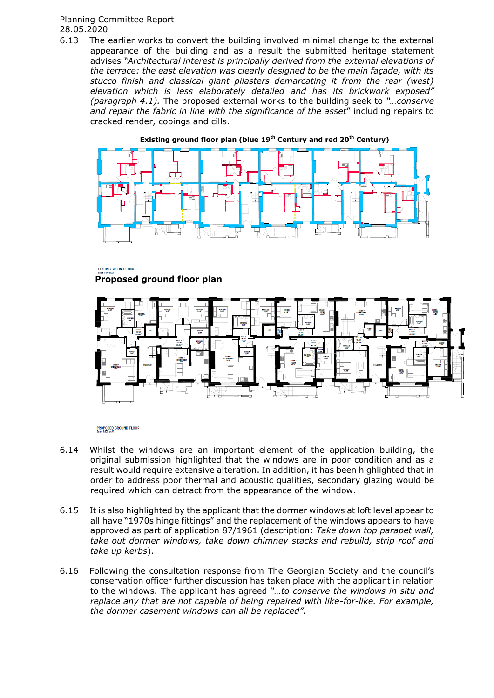6.13 The earlier works to convert the building involved minimal change to the external appearance of the building and as a result the submitted heritage statement advises *"Architectural interest is principally derived from the external elevations of the terrace: the east elevation was clearly designed to be the main façade, with its stucco finish and classical giant pilasters demarcating it from the rear (west) elevation which is less elaborately detailed and has its brickwork exposed" (paragraph 4.1).* The proposed external works to the building seek to *"…conserve and repair the fabric in line with the significance of the asset*" including repairs to cracked render, copings and cills.



**Existing ground floor plan (blue 19th Century and red 20th Century)**

EXISTING GROUND FLOOR **Proposed ground floor plan**



PROPOSED GROUND FLOOR<br>Scale 1:100 @ A1

- 6.14 Whilst the windows are an important element of the application building, the original submission highlighted that the windows are in poor condition and as a result would require extensive alteration. In addition, it has been highlighted that in order to address poor thermal and acoustic qualities, secondary glazing would be required which can detract from the appearance of the window.
- 6.15 It is also highlighted by the applicant that the dormer windows at loft level appear to all have "1970s hinge fittings" and the replacement of the windows appears to have approved as part of application 87/1961 (description: *Take down top parapet wall, take out dormer windows, take down chimney stacks and rebuild, strip roof and take up kerbs*).
- 6.16 Following the consultation response from The Georgian Society and the council's conservation officer further discussion has taken place with the applicant in relation to the windows. The applicant has agreed *"…to conserve the windows in situ and replace any that are not capable of being repaired with like-for-like. For example, the dormer casement windows can all be replaced".*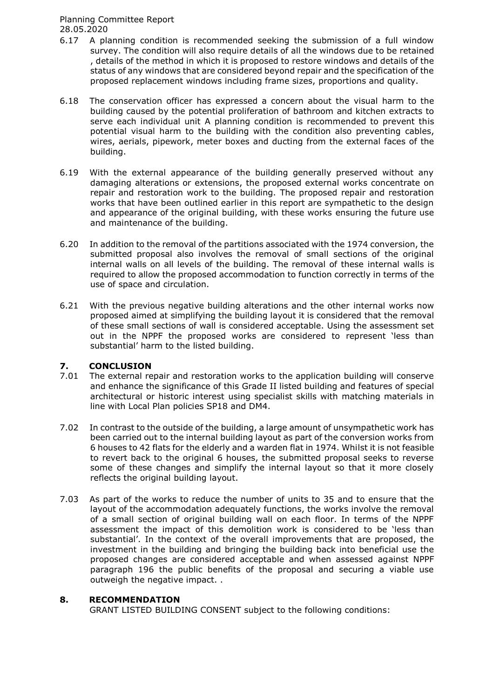- 6.17 A planning condition is recommended seeking the submission of a full window survey. The condition will also require details of all the windows due to be retained , details of the method in which it is proposed to restore windows and details of the status of any windows that are considered beyond repair and the specification of the proposed replacement windows including frame sizes, proportions and quality.
- 6.18 The conservation officer has expressed a concern about the visual harm to the building caused by the potential proliferation of bathroom and kitchen extracts to serve each individual unit A planning condition is recommended to prevent this potential visual harm to the building with the condition also preventing cables, wires, aerials, pipework, meter boxes and ducting from the external faces of the building.
- 6.19 With the external appearance of the building generally preserved without any damaging alterations or extensions, the proposed external works concentrate on repair and restoration work to the building. The proposed repair and restoration works that have been outlined earlier in this report are sympathetic to the design and appearance of the original building, with these works ensuring the future use and maintenance of the building.
- 6.20 In addition to the removal of the partitions associated with the 1974 conversion, the submitted proposal also involves the removal of small sections of the original internal walls on all levels of the building. The removal of these internal walls is required to allow the proposed accommodation to function correctly in terms of the use of space and circulation.
- 6.21 With the previous negative building alterations and the other internal works now proposed aimed at simplifying the building layout it is considered that the removal of these small sections of wall is considered acceptable. Using the assessment set out in the NPPF the proposed works are considered to represent 'less than substantial' harm to the listed building.

# **7. CONCLUSION**

- The external repair and restoration works to the application building will conserve and enhance the significance of this Grade II listed building and features of special architectural or historic interest using specialist skills with matching materials in line with Local Plan policies SP18 and DM4.
- 7.02 In contrast to the outside of the building, a large amount of unsympathetic work has been carried out to the internal building layout as part of the conversion works from 6 houses to 42 flats for the elderly and a warden flat in 1974. Whilst it is not feasible to revert back to the original 6 houses, the submitted proposal seeks to reverse some of these changes and simplify the internal layout so that it more closely reflects the original building layout.
- 7.03 As part of the works to reduce the number of units to 35 and to ensure that the layout of the accommodation adequately functions, the works involve the removal of a small section of original building wall on each floor. In terms of the NPPF assessment the impact of this demolition work is considered to be 'less than substantial'. In the context of the overall improvements that are proposed, the investment in the building and bringing the building back into beneficial use the proposed changes are considered acceptable and when assessed against NPPF paragraph 196 the public benefits of the proposal and securing a viable use outweigh the negative impact. .

## **8. RECOMMENDATION**

GRANT LISTED BUILDING CONSENT subject to the following conditions: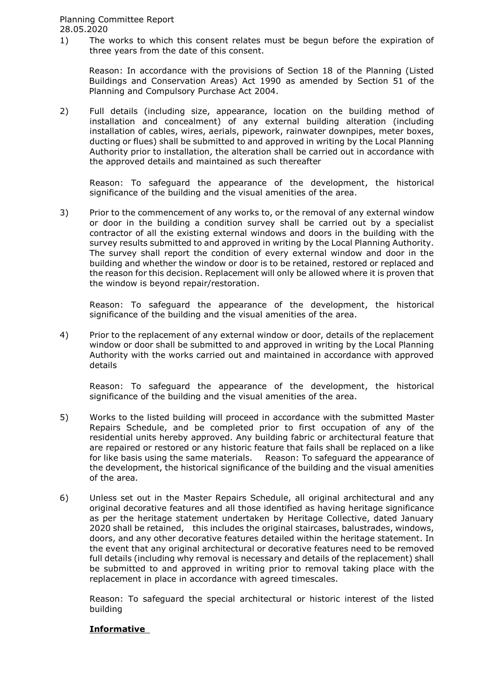1) The works to which this consent relates must be begun before the expiration of three years from the date of this consent.

Reason: In accordance with the provisions of Section 18 of the Planning (Listed Buildings and Conservation Areas) Act 1990 as amended by Section 51 of the Planning and Compulsory Purchase Act 2004.

2) Full details (including size, appearance, location on the building method of installation and concealment) of any external building alteration (including installation of cables, wires, aerials, pipework, rainwater downpipes, meter boxes, ducting or flues) shall be submitted to and approved in writing by the Local Planning Authority prior to installation, the alteration shall be carried out in accordance with the approved details and maintained as such thereafter

Reason: To safeguard the appearance of the development, the historical significance of the building and the visual amenities of the area.

3) Prior to the commencement of any works to, or the removal of any external window or door in the building a condition survey shall be carried out by a specialist contractor of all the existing external windows and doors in the building with the survey results submitted to and approved in writing by the Local Planning Authority. The survey shall report the condition of every external window and door in the building and whether the window or door is to be retained, restored or replaced and the reason for this decision. Replacement will only be allowed where it is proven that the window is beyond repair/restoration.

Reason: To safeguard the appearance of the development, the historical significance of the building and the visual amenities of the area.

4) Prior to the replacement of any external window or door, details of the replacement window or door shall be submitted to and approved in writing by the Local Planning Authority with the works carried out and maintained in accordance with approved details

Reason: To safeguard the appearance of the development, the historical significance of the building and the visual amenities of the area.

- 5) Works to the listed building will proceed in accordance with the submitted Master Repairs Schedule, and be completed prior to first occupation of any of the residential units hereby approved. Any building fabric or architectural feature that are repaired or restored or any historic feature that fails shall be replaced on a like for like basis using the same materials. Reason: To safeguard the appearance of the development, the historical significance of the building and the visual amenities of the area.
- 6) Unless set out in the Master Repairs Schedule, all original architectural and any original decorative features and all those identified as having heritage significance as per the heritage statement undertaken by Heritage Collective, dated January 2020 shall be retained, this includes the original staircases, balustrades, windows, doors, and any other decorative features detailed within the heritage statement. In the event that any original architectural or decorative features need to be removed full details (including why removal is necessary and details of the replacement) shall be submitted to and approved in writing prior to removal taking place with the replacement in place in accordance with agreed timescales.

Reason: To safeguard the special architectural or historic interest of the listed building

# **Informative**